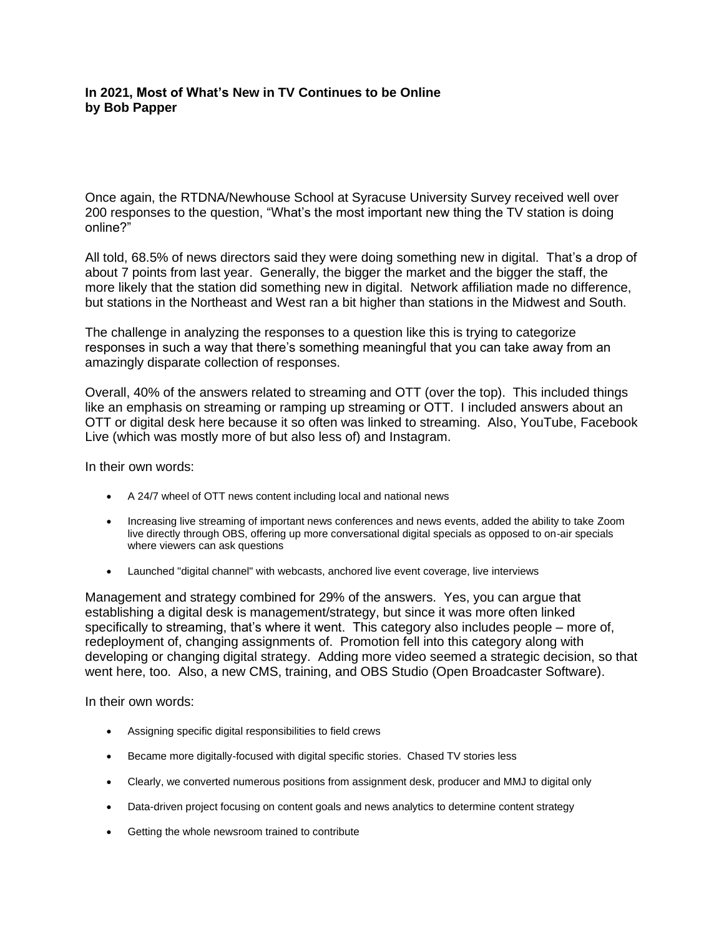# **In 2021, Most of What's New in TV Continues to be Online by Bob Papper**

Once again, the RTDNA/Newhouse School at Syracuse University Survey received well over 200 responses to the question, "What's the most important new thing the TV station is doing online?"

All told, 68.5% of news directors said they were doing something new in digital. That's a drop of about 7 points from last year. Generally, the bigger the market and the bigger the staff, the more likely that the station did something new in digital. Network affiliation made no difference, but stations in the Northeast and West ran a bit higher than stations in the Midwest and South.

The challenge in analyzing the responses to a question like this is trying to categorize responses in such a way that there's something meaningful that you can take away from an amazingly disparate collection of responses.

Overall, 40% of the answers related to streaming and OTT (over the top). This included things like an emphasis on streaming or ramping up streaming or OTT. I included answers about an OTT or digital desk here because it so often was linked to streaming. Also, YouTube, Facebook Live (which was mostly more of but also less of) and Instagram.

In their own words:

- A 24/7 wheel of OTT news content including local and national news
- Increasing live streaming of important news conferences and news events, added the ability to take Zoom live directly through OBS, offering up more conversational digital specials as opposed to on-air specials where viewers can ask questions
- Launched "digital channel" with webcasts, anchored live event coverage, live interviews

Management and strategy combined for 29% of the answers. Yes, you can argue that establishing a digital desk is management/strategy, but since it was more often linked specifically to streaming, that's where it went. This category also includes people – more of, redeployment of, changing assignments of. Promotion fell into this category along with developing or changing digital strategy. Adding more video seemed a strategic decision, so that went here, too. Also, a new CMS, training, and OBS Studio (Open Broadcaster Software).

In their own words:

- Assigning specific digital responsibilities to field crews
- Became more digitally-focused with digital specific stories. Chased TV stories less
- Clearly, we converted numerous positions from assignment desk, producer and MMJ to digital only
- Data-driven project focusing on content goals and news analytics to determine content strategy
- Getting the whole newsroom trained to contribute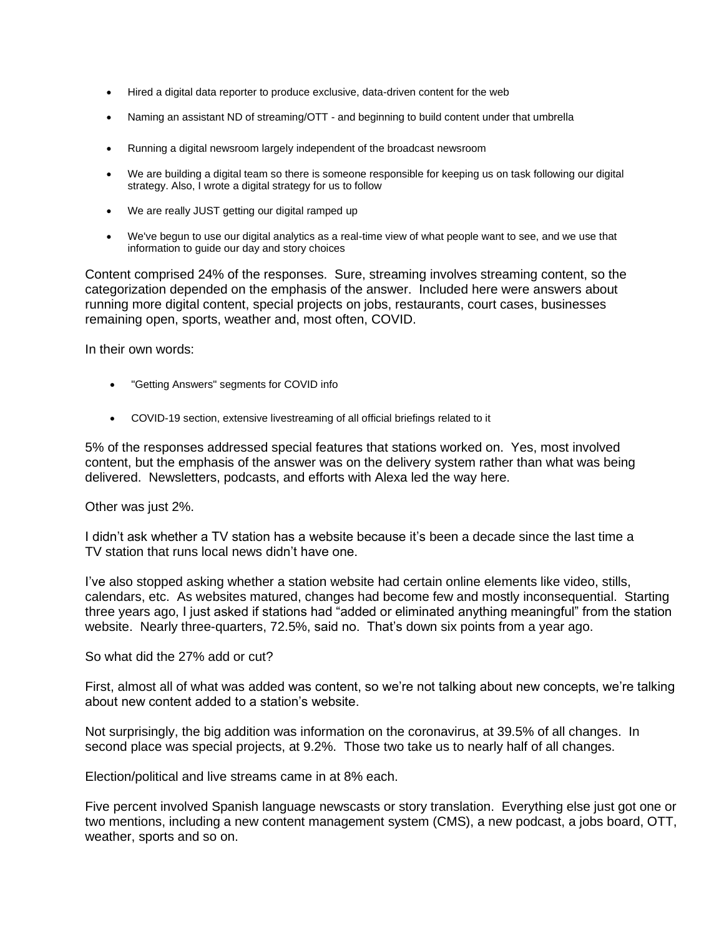- Hired a digital data reporter to produce exclusive, data-driven content for the web
- Naming an assistant ND of streaming/OTT and beginning to build content under that umbrella
- Running a digital newsroom largely independent of the broadcast newsroom
- We are building a digital team so there is someone responsible for keeping us on task following our digital strategy. Also, I wrote a digital strategy for us to follow
- We are really JUST getting our digital ramped up
- We've begun to use our digital analytics as a real-time view of what people want to see, and we use that information to guide our day and story choices

Content comprised 24% of the responses. Sure, streaming involves streaming content, so the categorization depended on the emphasis of the answer. Included here were answers about running more digital content, special projects on jobs, restaurants, court cases, businesses remaining open, sports, weather and, most often, COVID.

In their own words:

- "Getting Answers" segments for COVID info
- COVID-19 section, extensive livestreaming of all official briefings related to it

5% of the responses addressed special features that stations worked on. Yes, most involved content, but the emphasis of the answer was on the delivery system rather than what was being delivered. Newsletters, podcasts, and efforts with Alexa led the way here.

Other was just 2%.

I didn't ask whether a TV station has a website because it's been a decade since the last time a TV station that runs local news didn't have one.

I've also stopped asking whether a station website had certain online elements like video, stills, calendars, etc. As websites matured, changes had become few and mostly inconsequential. Starting three years ago, I just asked if stations had "added or eliminated anything meaningful" from the station website. Nearly three-quarters, 72.5%, said no. That's down six points from a year ago.

So what did the 27% add or cut?

First, almost all of what was added was content, so we're not talking about new concepts, we're talking about new content added to a station's website.

Not surprisingly, the big addition was information on the coronavirus, at 39.5% of all changes. In second place was special projects, at 9.2%. Those two take us to nearly half of all changes.

Election/political and live streams came in at 8% each.

Five percent involved Spanish language newscasts or story translation. Everything else just got one or two mentions, including a new content management system (CMS), a new podcast, a jobs board, OTT, weather, sports and so on.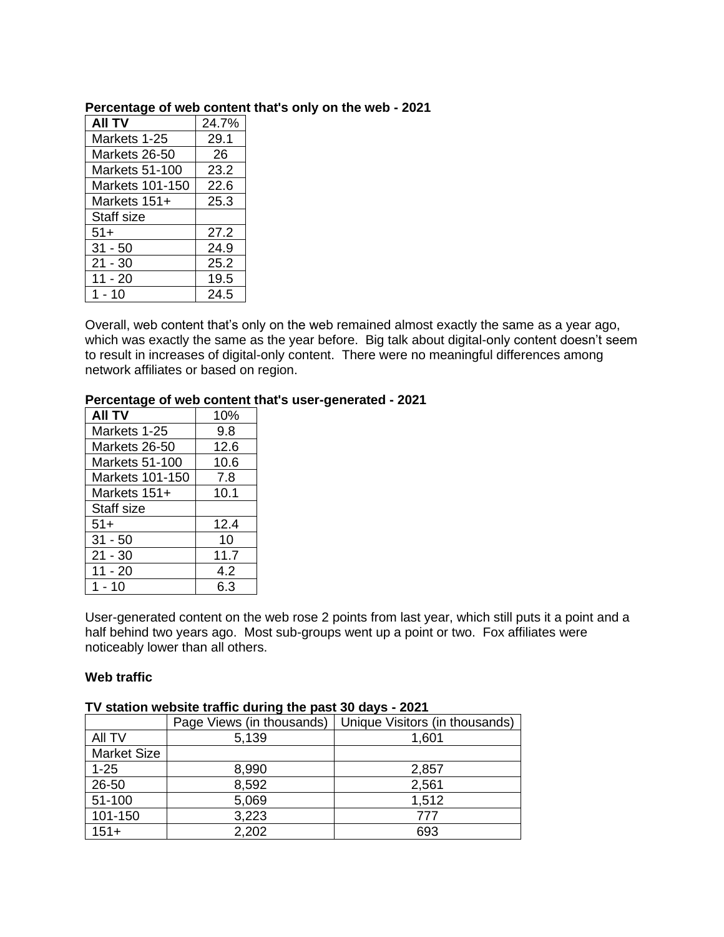| <b>AII TV</b>         | 24.7% |
|-----------------------|-------|
| Markets 1-25          | 29.1  |
| Markets 26-50         | 26    |
| <b>Markets 51-100</b> | 23.2  |
| Markets 101-150       | 22.6  |
| Markets 151+          | 25.3  |
| Staff size            |       |
| $51+$                 | 27.2  |
| $31 - 50$             | 24.9  |
| $21 - 30$             | 25.2  |
| 11 - 20               | 19.5  |
| $1 - 10$              | 24.5  |

#### **Percentage of web content that's only on the web - 2021**

Overall, web content that's only on the web remained almost exactly the same as a year ago, which was exactly the same as the year before. Big talk about digital-only content doesn't seem to result in increases of digital-only content. There were no meaningful differences among network affiliates or based on region.

# **Percentage of web content that's user-generated - 2021**

| <b>AII TV</b>         | 10%  |
|-----------------------|------|
| Markets 1-25          | 9.8  |
| Markets 26-50         | 12.6 |
| <b>Markets 51-100</b> | 10.6 |
| Markets 101-150       | 7.8  |
| Markets 151+          | 10.1 |
| Staff size            |      |
| $51+$                 | 12.4 |
| $31 - 50$             | 10   |
| $21 - 30$             | 11.7 |
| $11 - 20$             | 4.2  |
| 1 - 10                | 6.3  |

User-generated content on the web rose 2 points from last year, which still puts it a point and a half behind two years ago. Most sub-groups went up a point or two. Fox affiliates were noticeably lower than all others.

# **Web traffic**

# **TV station website traffic during the past 30 days - 2021**

|                    | Page Views (in thousands) | Unique Visitors (in thousands) |
|--------------------|---------------------------|--------------------------------|
| All TV             | 5,139                     | 1,601                          |
| <b>Market Size</b> |                           |                                |
| $1 - 25$           | 8,990                     | 2,857                          |
| 26-50              | 8,592                     | 2,561                          |
| 51-100             | 5,069                     | 1,512                          |
| 101-150            | 3,223                     | 777                            |
| $151+$             | 2,202                     | 693                            |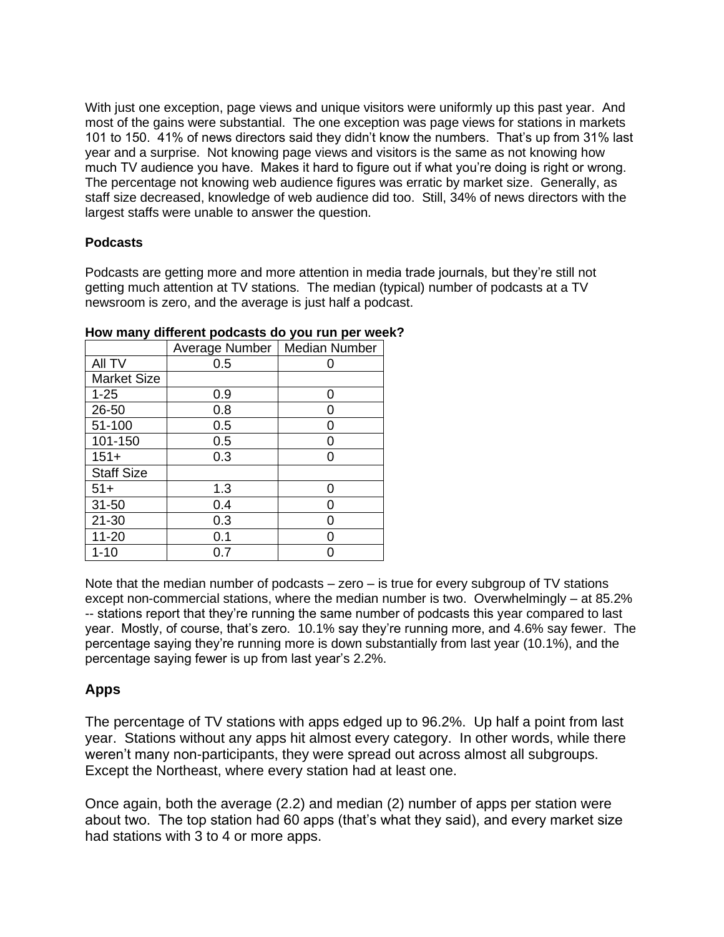With just one exception, page views and unique visitors were uniformly up this past year. And most of the gains were substantial. The one exception was page views for stations in markets 101 to 150. 41% of news directors said they didn't know the numbers. That's up from 31% last year and a surprise. Not knowing page views and visitors is the same as not knowing how much TV audience you have. Makes it hard to figure out if what you're doing is right or wrong. The percentage not knowing web audience figures was erratic by market size. Generally, as staff size decreased, knowledge of web audience did too. Still, 34% of news directors with the largest staffs were unable to answer the question.

# **Podcasts**

Podcasts are getting more and more attention in media trade journals, but they're still not getting much attention at TV stations. The median (typical) number of podcasts at a TV newsroom is zero, and the average is just half a podcast.

|                    | Average Number | <b>Median Number</b> |
|--------------------|----------------|----------------------|
| All TV             | 0.5            |                      |
| <b>Market Size</b> |                |                      |
| $1 - 25$           | 0.9            | O                    |
| 26-50              | 0.8            |                      |
| 51-100             | 0.5            |                      |
| 101-150            | 0.5            |                      |
| $151+$             | 0.3            |                      |
| <b>Staff Size</b>  |                |                      |
| $51+$              | 1.3            | O                    |
| $31 - 50$          | 0.4            |                      |
| $21 - 30$          | 0.3            |                      |
| $11 - 20$          | 0.1            |                      |
| $1 - 10$           | ง.7            |                      |

**How many different podcasts do you run per week?**

Note that the median number of podcasts  $-$  zero  $-$  is true for every subgroup of TV stations except non-commercial stations, where the median number is two. Overwhelmingly – at 85.2% -- stations report that they're running the same number of podcasts this year compared to last year. Mostly, of course, that's zero. 10.1% say they're running more, and 4.6% say fewer. The percentage saying they're running more is down substantially from last year (10.1%), and the percentage saying fewer is up from last year's 2.2%.

# **Apps**

The percentage of TV stations with apps edged up to 96.2%. Up half a point from last year. Stations without any apps hit almost every category. In other words, while there weren't many non-participants, they were spread out across almost all subgroups. Except the Northeast, where every station had at least one.

Once again, both the average (2.2) and median (2) number of apps per station were about two. The top station had 60 apps (that's what they said), and every market size had stations with 3 to 4 or more apps.